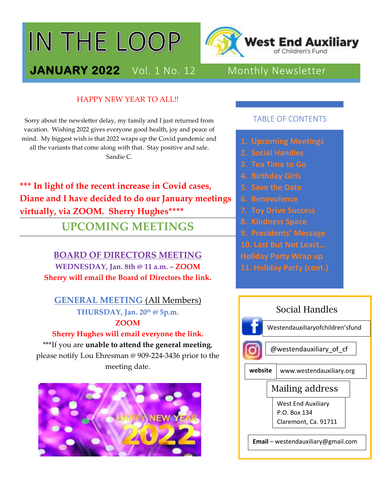# IN THE LOOP



## **JANUARY 2022** Vol. 1 No. 12 Monthly Newsletter

#### HAPPY NEW YEAR TO ALL!!

Sorry about the newsletter delay, my family and I just returned from vacation. Wishing 2022 gives everyone good health, joy and peace of mind. My biggest wish is that 2022 wraps up the Covid pandemic and all the variants that come along with that. Stay positive and safe. Sandie C.

**\*\*\* In light of the recent increase in Covid cases, Diane and I have decided to do our January meetings virtually, via ZOOM. Sherry Hughes\*\*\*\***

**UPCOMING MEETINGS**

#### **BOARD OF DIRECTORS MEETING**

**WEDNESDAY, Jan. 8th @ 11 a.m. – ZOOM Sherry will email the Board of Directors the link.**

## **GENERAL MEETING** (All Members) **THURSDAY, Jan. 20th @ 5p.m. ZOOM**

### **Sherry Hughes will email everyone the link.** \*\*\*If you are **unable to attend the general meeting**, please notify Lou Ehresman @ 909-224-3436 prior to the meeting date.



#### TABLE OF CONTENTS

- 
- 
- **3. Tea Time to Go**
- 
- **5. Save the Date**
- **6. Benevolence**
- 
- 
- 
- 
- 
- 

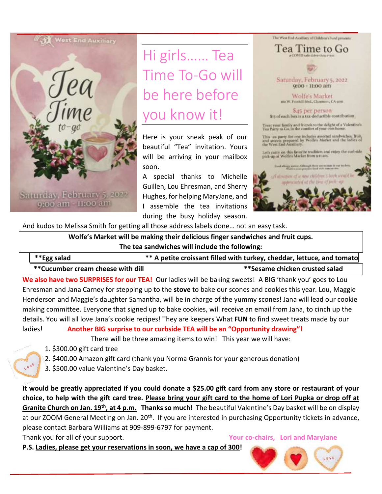

Saturday, February 5, 2022 9:00 am -11:00 am

Hi girls…… Tea Time To-Go will be here before you know it!

Here is your sneak peak of our beautiful "Tea" invitation. Yours will be arriving in your mailbox soon.

A special thanks to Michelle Guillen, Lou Ehresman, and Sherry Hughes, for helping MaryJane, and I assemble the tea invitations during the busy holiday season.



And kudos to Melissa Smith for getting all those address labels done… not an easy task.

**Wolfe's Market will be making their delicious finger sandwiches and fruit cups. The tea sandwiches will include the following:**

| **Egg salad                        | ** A petite croissant filled with turkey, cheddar, lettuce, and tomato |
|------------------------------------|------------------------------------------------------------------------|
| ** Cucumber cream cheese with dill | **Sesame chicken crusted salad                                         |

**We also have two SURPRISES for our TEA!** Our ladies will be baking sweets! A BIG 'thank you' goes to Lou Ehresman and Jana Carney for stepping up to the **stove** to bake our scones and cookies this year. Lou, Maggie Henderson and Maggie's daughter Samantha, will be in charge of the yummy scones! Jana will lead our cookie making committee. Everyone that signed up to bake cookies, will receive an email from Jana, to cinch up the details. You will all love Jana's cookie recipes! They are keepers What **FUN** to find sweet treats made by our ladies! **Another BIG surprise to our curbside TEA will be an "Opportunity drawing"!**

There will be three amazing items to win! This year we will have:

- 1. \$300.00 gift card tree
- 2. \$400.00 Amazon gift card (thank you Norma Grannis for your generous donation)
- 3. \$500.00 value Valentine's Day basket.

**It would be greatly appreciated if you could donate a \$25.00 gift card from any store or restaurant of your choice, to help with the gift card tree. Please bring your gift card to the home of Lori Pupka or drop off at Granite Church on Jan. 19th, at 4 p.m. Thanks so much!** The beautiful Valentine's Day basket will be on display at our ZOOM General Meeting on Jan. 20<sup>th</sup>. If you are interested in purchasing Opportunity tickets in advance, please contact Barbara Williams at 909-899-6797 for payment.

Thank you for all of your support. **Your co-chairs, Lori and MaryJane**

**P.S. Ladies, please get your reservations in soon, we have a cap of 300!** 

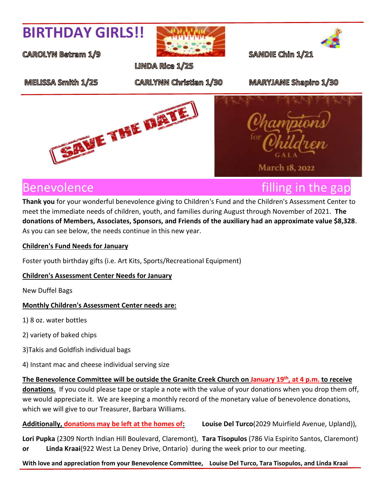## **BIRTHDAY GIRLS!!**

**CAROLYN Betram 1/9** 



**LINDA Rice 1/25** 

SANDIE Chin 1/21

MELISSA Smith 1/25

**CARLYNN Christian 1/30** 

**MARYJANE Shapiro 1/30** 





**March 18, 2022** 

**Thank you** for your wonderful benevolence giving to Children's Fund and the Children's Assessment Center to meet the immediate needs of children, youth, and families during August through November of 2021. **The donations of Members, Associates, Sponsors, and Friends of the auxiliary had an approximate value \$8,328**. As you can see below, the needs continue in this new year.

#### **Children's Fund Needs for January**

Foster youth birthday gifts (i.e. Art Kits, Sports/Recreational Equipment)

#### **Children's Assessment Center Needs for January**

New Duffel Bags

#### **Monthly Children's Assessment Center needs are:**

1) 8 oz. water bottles

2) variety of baked chips

- 3)Takis and Goldfish individual bags
- 4) Instant mac and cheese individual serving size

**The Benevolence Committee will be outside the Granite Creek Church on January 19th, at 4 p.m. to receive donations.** If you could please tape or staple a note with the value of your donations when you drop them off, we would appreciate it. We are keeping a monthly record of the monetary value of benevolence donations, which we will give to our Treasurer, Barbara Williams.

**Additionally, donations may be left at the homes of: Louise Del Turco**(2029 Muirfield Avenue, Upland)),

**Lori Pupka** (2309 North Indian Hill Boulevard, Claremont), **Tara Tisopulos** (786 Via Espirito Santos, Claremont) **or Linda Kraai**(922 West La Deney Drive, Ontario) during the week prior to our meeting.

#### **With love and appreciation from your Benevolence Committee, Louise Del Turco, Tara Tisopulos, and Linda Kraai**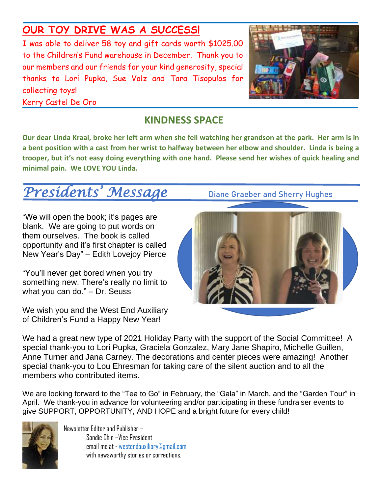## **OUR TOY DRIVE WAS A SUCCESS!**

I was able to deliver 58 toy and gift cards worth \$1025.00 to the Children's Fund warehouse in December. Thank you to our members and our friends for your kind generosity, special thanks to Lori Pupka, Sue Volz and Tara Tisopulos for collecting toys!



Kerry Castel De Oro

## **KINDNESS SPACE**

**Our dear Linda Kraai, broke her left arm when she fell watching her grandson at the park. Her arm is in a bent position with a cast from her wrist to halfway between her elbow and shoulder. Linda is being a trooper, but it's not easy doing everything with one hand. Please send her wishes of quick healing and minimal pain. We LOVE YOU Linda.** r<br>.

# Presidents' Message Diane Graeber and Sherry Hughes

"We will open the book; it's pages are blank. We are going to put words on them ourselves. The book is called opportunity and it's first chapter is called New Year's Day" – Edith Lovejoy Pierce

"You'll never get bored when you try something new. There's really no limit to what you can do." – Dr. Seuss

We wish you and the West End Auxiliary of Children's Fund a Happy New Year!



We had a great new type of 2021 Holiday Party with the support of the Social Committee! A special thank-you to Lori Pupka, Graciela Gonzalez, Mary Jane Shapiro, Michelle Guillen, Anne Turner and Jana Carney. The decorations and center pieces were amazing! Another special thank-you to Lou Ehresman for taking care of the silent auction and to all the members who contributed items.

We are looking forward to the "Tea to Go" in February, the "Gala" in March, and the "Garden Tour" in April. We thank-you in advance for volunteering and/or participating in these fundraiser events to give SUPPORT, OPPORTUNITY, AND HOPE and a bright future for every child!



Newsletter Editor and Publisher – Sandie Chin –Vice President email meat - [westendauxiliary@gmail.com](mailto:westendauxiliary@gmail.com) with newsworthy stories or corrections.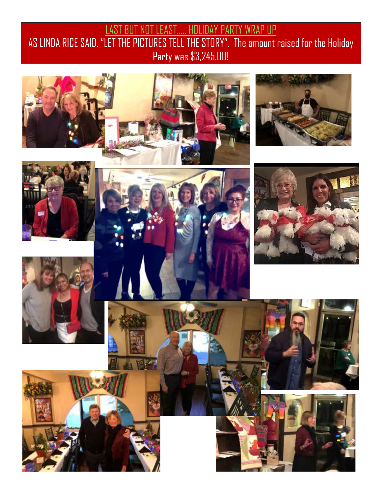## **LAST BUT NOT LEAST..... HOLIDAY PARTY WRAP UP** AS LINDA RICE SAID, "LET THE PICTURES TELL THE STORY". The amount raised for the Holiday Party was \$3,245.00!